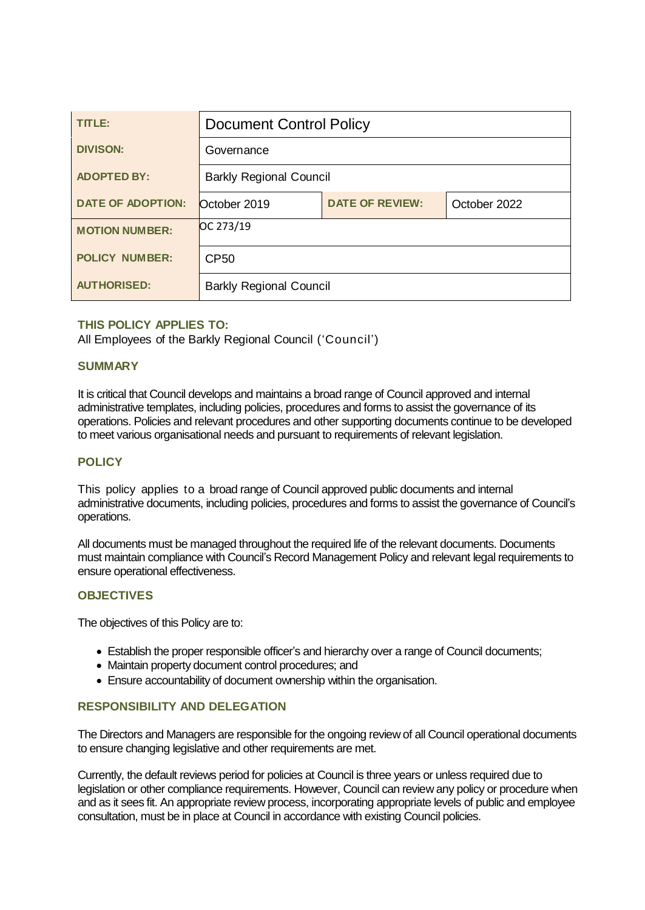| TITLE:                   | <b>Document Control Policy</b> |                        |              |
|--------------------------|--------------------------------|------------------------|--------------|
| <b>DIVISON:</b>          | Governance                     |                        |              |
| <b>ADOPTED BY:</b>       | <b>Barkly Regional Council</b> |                        |              |
| <b>DATE OF ADOPTION:</b> | October 2019                   | <b>DATE OF REVIEW:</b> | October 2022 |
| <b>MOTION NUMBER:</b>    | OC 273/19                      |                        |              |
| <b>POLICY NUMBER:</b>    | CP <sub>50</sub>               |                        |              |
| <b>AUTHORISED:</b>       | <b>Barkly Regional Council</b> |                        |              |

# **THIS POLICY APPLIES TO:**

All Employees of the Barkly Regional Council ('Council')

# **SUMMARY**

It is critical that Council develops and maintains a broad range of Council approved and internal administrative templates, including policies, procedures and forms to assist the governance of its operations. Policies and relevant procedures and other supporting documents continue to be developed to meet various organisational needs and pursuant to requirements of relevant legislation.

# **POLICY**

This policy applies to a broad range of Council approved public documents and internal administrative documents, including policies, procedures and forms to assist the governance of Council's operations.

All documents must be managed throughout the required life of the relevant documents. Documents must maintain compliance with Council's Record Management Policy and relevant legal requirements to ensure operational effectiveness.

#### **OBJECTIVES**

The objectives of this Policy are to:

- Establish the proper responsible officer's and hierarchy over a range of Council documents;
- Maintain property document control procedures; and
- Ensure accountability of document ownership within the organisation.

#### **RESPONSIBILITY AND DELEGATION**

The Directors and Managers are responsible for the ongoing review of all Council operational documents to ensure changing legislative and other requirements are met.

Currently, the default reviews period for policies at Council is three years or unless required due to legislation or other compliance requirements. However, Council can review any policy or procedure when and as it sees fit. An appropriate review process, incorporating appropriate levels of public and employee consultation, must be in place at Council in accordance with existing Council policies.